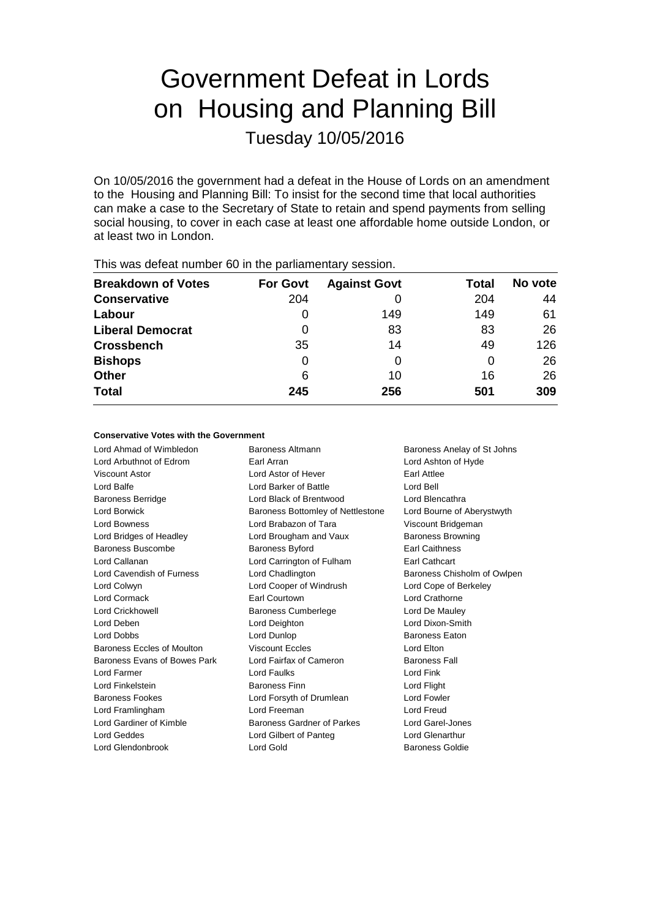# Government Defeat in Lords on Housing and Planning Bill

Tuesday 10/05/2016

On 10/05/2016 the government had a defeat in the House of Lords on an amendment to the Housing and Planning Bill: To insist for the second time that local authorities can make a case to the Secretary of State to retain and spend payments from selling social housing, to cover in each case at least one affordable home outside London, or at least two in London.

| <b>Breakdown of Votes</b> | <b>For Govt</b> | <b>Against Govt</b> | Total | No vote |  |  |  |  |
|---------------------------|-----------------|---------------------|-------|---------|--|--|--|--|
| <b>Conservative</b>       | 204             |                     | 204   | 44      |  |  |  |  |
| Labour                    |                 | 149                 | 149   | 61      |  |  |  |  |
| <b>Liberal Democrat</b>   | 0               | 83                  | 83    | 26      |  |  |  |  |
| <b>Crossbench</b>         | 35              | 14                  | 49    | 126     |  |  |  |  |
| <b>Bishops</b>            | 0               | 0                   | O     | 26      |  |  |  |  |
| <b>Other</b>              | 6               | 10                  | 16    | 26      |  |  |  |  |
| <b>Total</b>              | 245             | 256                 | 501   | 309     |  |  |  |  |
|                           |                 |                     |       |         |  |  |  |  |

This was defeat number 60 in the parliamentary session.

#### **Conservative Votes with the Government**

Lord Arbuthnot of Edrom Earl Arran Lord Ashton of Hyde Viscount Astor Lord Astor of Hever Earl Attlee Lord Balfe Lord Barker of Battle Lord Bell Baroness Berridge Lord Black of Brentwood Lord Blencathra Lord Borwick **Baroness Bottomley of Nettlestone** Lord Bourne of Aberystwyth Lord Bowness Lord Brabazon of Tara Viscount Bridgeman Lord Bridges of Headley Lord Brougham and Vaux Baroness Browning Baroness Buscombe **Baroness Byford** Earl Caithness Lord Callanan **Lord Carrington of Fulham** Earl Cathcart Lord Cavendish of Furness **Lord Chadlington** Baroness Chisholm of Owlpen Lord Colwyn Lord Cooper of Windrush Lord Cope of Berkeley Lord Cormack Earl Courtown Lord Crathorne Lord Crickhowell Baroness Cumberlege Lord De Mauley Lord Deben Lord Deighton Lord Dixon-Smith Lord Dobbs **Lord Dunlop Comparent Eaton Baroness Eaton** Baroness Eccles of Moulton Viscount Eccles Contract Lord Elton Baroness Evans of Bowes Park Lord Fairfax of Cameron Baroness Fall Lord Farmer **Lord Faulks** Lord Faulks **Lord Faulks** Lord Fink Lord Finkelstein Baroness Finn Lord Flight Baroness Fookes Lord Forsyth of Drumlean Lord Fowler Lord Framlingham Lord Freeman Lord Freud Lord Gardiner of Kimble **Baroness Gardner of Parkes** Lord Garel-Jones Lord Geddes Lord Gilbert of Panteg Lord Glenarthur

Lord Ahmad of Wimbledon Baroness Altmann Baroness Anelay of St Johns Lord Glendonbrook Lord Gold Baroness Goldie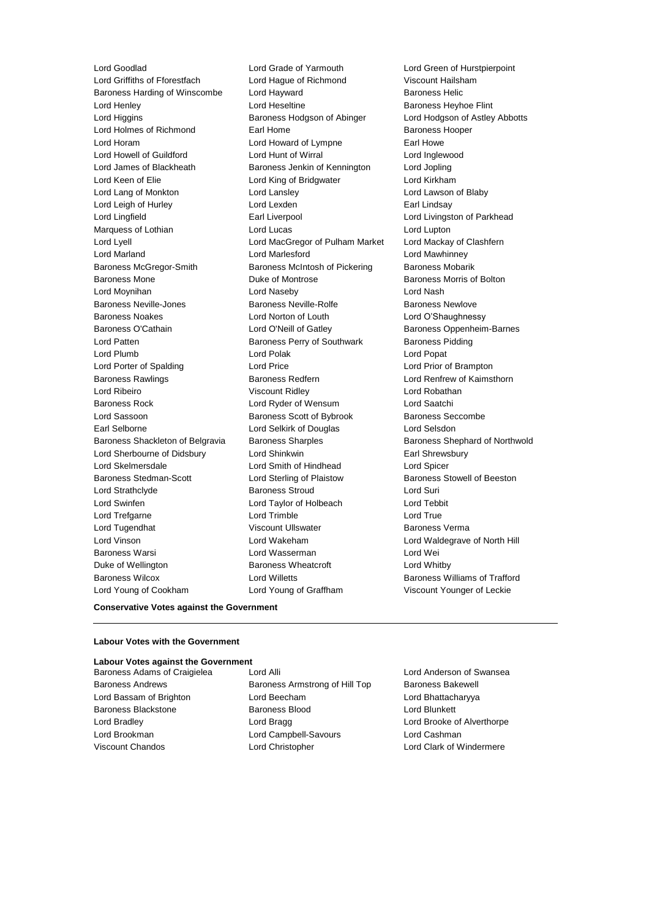Lord Goodlad **Lord Grade of Yarmouth** Lord Green of Hurstpierpoint<br>
Lord Griffiths of Fforestfach Lord Haque of Richmond Viscount Hailsham Baroness Harding of Winscombe Lord Hayward **Baroness Helic** Baroness Helic Lord Henley Lord Heseltine Baroness Heyhoe Flint Lord Higgins **Baroness Hodgson of Abinger** Lord Hodgson of Astley Abbotts Lord Holmes of Richmond Earl Home Earl Home Baroness Hooper Lord Horam **Lord Howard of Lympne** Earl Howe Lord Howell of Guildford Lord Hunt of Wirral Lord Inglewood Lord James of Blackheath Baroness Jenkin of Kennington Lord Jopling Lord Keen of Elie Lord King of Bridgwater Lord Kirkham Lord Lang of Monkton Lord Lansley Lord Lawson of Blaby Lord Leigh of Hurley **Lord Lexden** Lord Lexden **Earl Lindsay** Lord Lingfield **Earl Liverpool** Earl Liverpool Lord Livingston of Parkhead Marquess of Lothian **Lord Lucas** Lord Lucas **Lord Lupton** Lord Lyell Lord MacGregor of Pulham Market Lord Mackay of Clashfern Lord Marland Lord Marlesford Lord Mawhinney Baroness McGregor-Smith Baroness McIntosh of Pickering Baroness Mobarik Baroness Mone Duke of Montrose Baroness Morris of Bolton Lord Moynihan Lord Naseby Lord Nash Baroness Neville-Jones **Baroness Newlowe** Baroness Newlove Baroness Newlove Baroness Noakes Lord Norton of Louth Lord O'Shaughnessy Baroness O'Cathain **Lord O'Neill of Gatley** Baroness Oppenheim-Barnes Lord Patten **Baroness Perry of Southwark** Baroness Pidding Lord Plumb Lord Polak Lord Popat Lord Porter of Spalding Lord Price Lord Prior of Brampton Baroness Rawlings **Baroness Redfern Baroness Redfern** Lord Renfrew of Kaimsthorn Lord Ribeiro Viscount Ridley Lord Robathan Baroness Rock Lord Ryder of Wensum Lord Saatchi Lord Sassoon **Baroness Scott of Bybrook** Baroness Seccombe Earl Selborne Lord Selkirk of Douglas Lord Selsdon Baroness Shackleton of Belgravia Baroness Sharples Baroness Sharples Baroness Shephard of Northwold Lord Sherbourne of Didsbury Lord Shinkwin **Earl Shinkwin** Earl Shrewsbury Lord Skelmersdale Lord Smith of Hindhead Lord Spicer Baroness Stedman-Scott Lord Sterling of Plaistow Baroness Stowell of Beeston Lord Strathclyde Baroness Stroud Lord Suri Lord Swinfen Lord Taylor of Holbeach Lord Tebbit Lord Trefgarne **Lord Trimble** Lord Trimble **Lord True** Lord Tugendhat Viscount Ullswater Baroness Verma Lord Vinson Lord Wakeham Lord Waldegrave of North Hill Baroness Warsi **Lord Wasserman** Lord Wei Duke of Wellington **Baroness Wheatcroft Lord Whitby** Baroness Wilcox **Lord Willetts** Baroness Williams of Trafford **Baroness Williams** of Trafford Lord Young of Cookham Lord Young of Graffham Viscount Younger of Leckie

Lord Hague of Richmond Viscount Hailsham

#### **Conservative Votes against the Government**

#### **Labour Votes with the Government**

#### **Labour Votes against the Government**

Baroness Adams of Craigielea Lord Alli Lord Anderson of Swansea Baroness Andrews **Baroness Armstrong of Hill Top** Baroness Bakewell Lord Bassam of Brighton Lord Beecham Lord Bhattacharyya Baroness Blackstone **Baroness Blood Baroness Blood** Lord Blunkett Lord Bradley Lord Bragg Lord Brooke of Alverthorpe Lord Brookman Lord Campbell-Savours Lord Cashman Viscount Chandos Lord Christopher Lord Clark of Windermere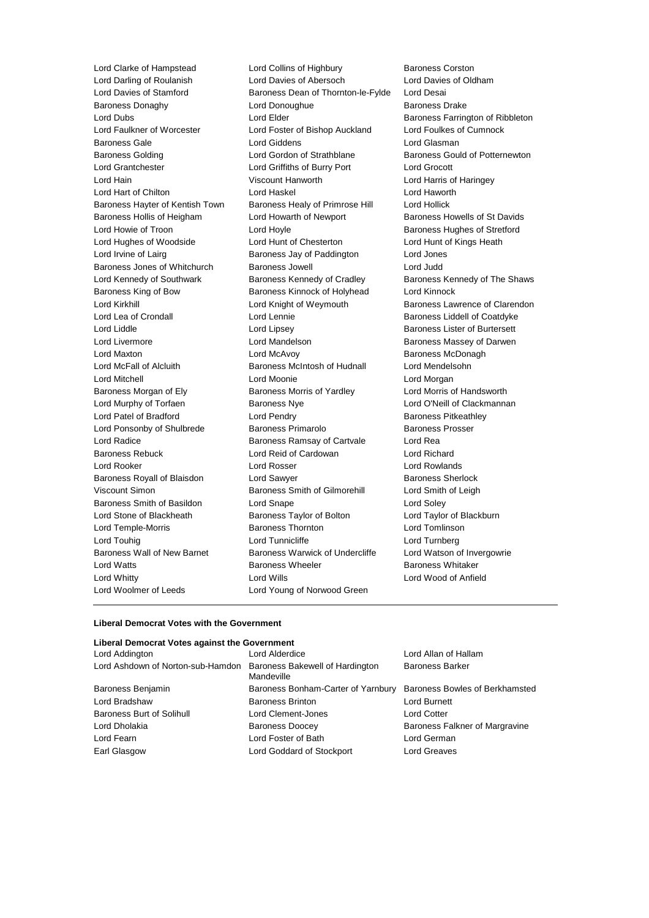Lord Darling of Roulanish Lord Davies of Abersoch Lord Davies of Stamford **Baroness Dean of Thornton-le-Fylde** Lord Desai<br>Baroness Donaghy **Baroness Lord Donoughue** Baroness D Baroness Donaghy **Baroness Donaghy** Lord Donoughue **Baroness Drake** Lord Dubs **Lord Elder Baroness Farrington of Ribbleton** Lord Faulkner of Worcester Lord Foster of Bishop Auckland Lord Foulkes of Cumnock Baroness Gale Lord Giddens Lord Glasman Baroness Golding **Lord Gordon of Strathblane** Baroness Gould of Potternewton Lord Grantchester Lord Griffiths of Burry Port Lord Grocott Lord Hain Viscount Hanworth Lord Harris of Haringey Lord Hart of Chilton Lord Haskel Lord Haworth Baroness Hayter of Kentish Town Baroness Healy of Primrose Hill Lord Hollick Baroness Hollis of Heigham Lord Howarth of Newport Baroness Howells of St Davids Lord Howie of Troon **Lord Hoyle Lord Hoyle Baroness Hughes of Stretford** Lord Hughes of Woodside Lord Hunt of Chesterton Lord Hunt of Kings Heath Lord Irvine of Lairg **Baroness Jay of Paddington** Lord Jones Baroness Jones of Whitchurch Baroness Jowell Lord Judd Lord Kennedy of Southwark **Baroness Kennedy of Cradley** Baroness Kennedy of The Shaws Baroness King of Bow Baroness Kinnock of Holyhead Lord Kinnock Lord Kirkhill **Lord Knight of Weymouth** Baroness Lawrence of Clarendon Lord Lea of Crondall **Lord Lennie** Lord Lennie **Baroness Liddell of Coatdyke** Lord Liddle **Lord Lipsey** Lord Lipsey **Baroness Lister of Burtersett** Lord Livermore Lord Mandelson Baroness Massey of Darwen Lord Maxton Lord McAvoy Baroness McDonagh Lord McFall of Alcluith Baroness McIntosh of Hudnall Lord Mendelsohn Lord Mitchell Lord Moonie Lord Morgan Baroness Morgan of Ely **Baroness Morris of Yardley** Lord Morris of Handsworth Lord Murphy of Torfaen **Baroness Nye** Lord O'Neill of Clackmannan Lord Patel of Bradford **Lord Pendry Community** Baroness Pitkeathley Lord Ponsonby of Shulbrede Baroness Primarolo Baroness Prosser Lord Radice **Baroness Ramsay of Cartvale** Lord Rea Baroness Rebuck Lord Reid of Cardowan Lord Richard Lord Rooker Lord Rosser Lord Rowlands Baroness Royall of Blaisdon Lord Sawyer **Baroness Sherlock** Baroness Sherlock Viscount Simon Baroness Smith of Gilmorehill Lord Smith of Leigh Baroness Smith of Basildon Lord Snape Lord Soley Lord Stone of Blackheath Baroness Taylor of Bolton Lord Taylor of Blackburn Lord Temple-Morris Baroness Thornton Lord Tomlinson Lord Touhig Lord Tunnicliffe Lord Turnberg Baroness Wall of New Barnet Baroness Warwick of Undercliffe Lord Watson of Invergowrie Lord Watts **Baroness Wheeler** Baroness Wheeler **Baroness Whitaker** Lord Whitty Lord Wills Lord Wood of Anfield Lord Woolmer of Leeds **Lord Young of Norwood Green** 

Lord Clarke of Hampstead Lord Collins of Highbury Baroness Corston<br>
Lord Darling of Roulanish Lord Davies of Abersoch Lord Davies of Oldham

#### **Liberal Democrat Votes with the Government**

| Liberal Democrat Votes against the Government                     |                                    |                                |
|-------------------------------------------------------------------|------------------------------------|--------------------------------|
| Lord Addington                                                    | Lord Alderdice                     | Lord Allan of Hallam           |
| Lord Ashdown of Norton-sub-Hamdon Baroness Bakewell of Hardington | Mandeville                         | <b>Baroness Barker</b>         |
| Baroness Benjamin                                                 | Baroness Bonham-Carter of Yarnbury | Baroness Bowles of Berkhamsted |
| Lord Bradshaw                                                     | <b>Baroness Brinton</b>            | Lord Burnett                   |
| Baroness Burt of Solihull                                         | Lord Clement-Jones                 | Lord Cotter                    |
| Lord Dholakia                                                     | <b>Baroness Doocey</b>             | Baroness Falkner of Margravine |
| Lord Fearn                                                        | Lord Foster of Bath                | Lord German                    |
| Earl Glasgow                                                      | Lord Goddard of Stockport          | Lord Greaves                   |